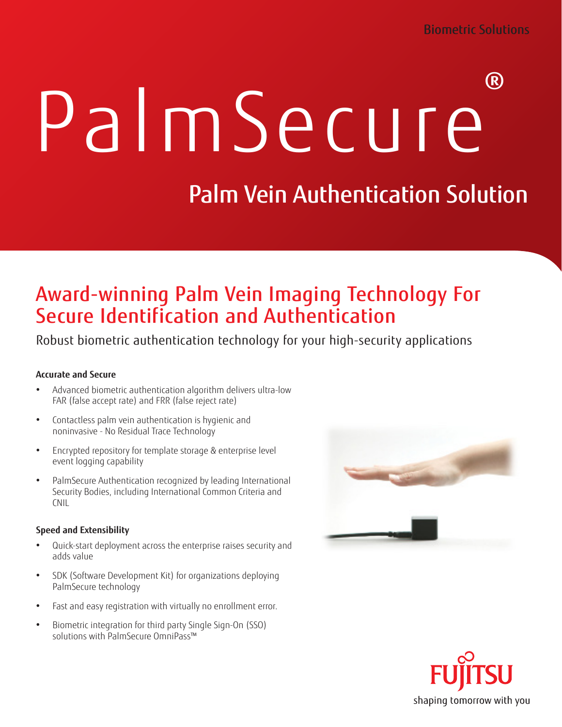# PalmSecure®

## Palm Vein Authentication Solution

## Award-winning Palm Vein Imaging Technology For Secure Identification and Authentication

Robust biometric authentication technology for your high-security applications

#### **Accurate and Secure**

- Advanced biometric authentication algorithm delivers ultra-low FAR (false accept rate) and FRR (false reject rate)
- Contactless palm vein authentication is hygienic and noninvasive - No Residual Trace Technology
- Encrypted repository for template storage & enterprise level event logging capability
- PalmSecure Authentication recognized by leading International Security Bodies, including International Common Criteria and CNIL

#### **Speed and Extensibility**

- Quick-start deployment across the enterprise raises security and adds value
- SDK (Software Development Kit) for organizations deploying PalmSecure technology
- Fast and easy registration with virtually no enrollment error.
- Biometric integration for third party Single Sign-On (SSO) solutions with PalmSecure OmniPass™